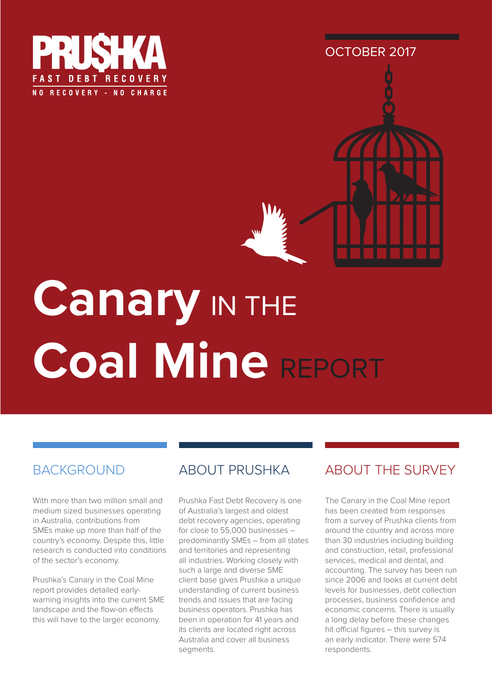



# **Canary** IN THE **Coal Mine** REPORT

### **BACKGROUND**

With more than two million small and medium sized businesses operating in Australia, contributions from SMEs make up more than half of the country's economy. Despite this, little research is conducted into conditions of the sector's economy.

Prushka's Canary in the Coal Mine report provides detailed earlywarning insights into the current SME landscape and the flow-on effects this will have to the larger economy.

### ABOUT PRUSHKA

Prushka Fast Debt Recovery is one of Australia's largest and oldest debt recovery agencies, operating for close to 55,000 businesses – predominantly SMEs – from all states and territories and representing all industries. Working closely with such a large and diverse SME client base gives Prushka a unique understanding of current business trends and issues that are facing business operators. Prushka has been in operation for 41 years and its clients are located right across Australia and cover all business segments.

### ABOUT THE SURVEY

The Canary in the Coal Mine report has been created from responses from a survey of Prushka clients from around the country and across more than 30 industries including building and construction, retail, professional services, medical and dental, and accounting. The survey has been run since 2006 and looks at current debt levels for businesses, debt collection processes, business confidence and economic concerns. There is usually a long delay before these changes hit official figures – this survey is an early indicator. There were 574 respondents.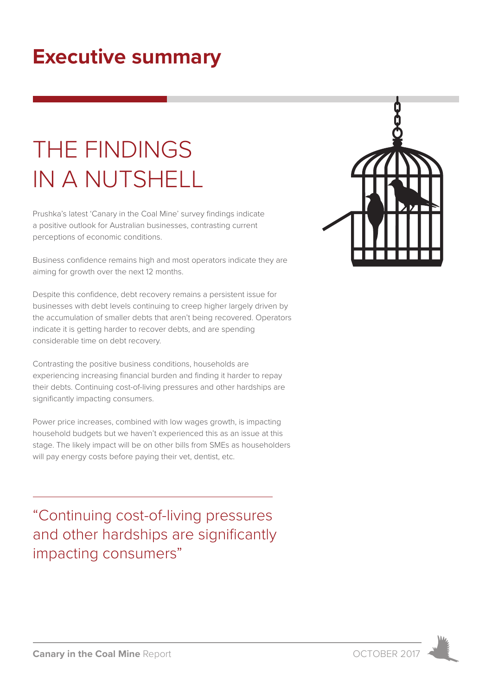# **Executive summary**

# THE FINDINGS IN A NUTSHELL

Prushka's latest 'Canary in the Coal Mine' survey findings indicate a positive outlook for Australian businesses, contrasting current perceptions of economic conditions.

Business confidence remains high and most operators indicate they are aiming for growth over the next 12 months.

Despite this confidence, debt recovery remains a persistent issue for businesses with debt levels continuing to creep higher largely driven by the accumulation of smaller debts that aren't being recovered. Operators indicate it is getting harder to recover debts, and are spending considerable time on debt recovery.

Contrasting the positive business conditions, households are experiencing increasing financial burden and finding it harder to repay their debts. Continuing cost-of-living pressures and other hardships are significantly impacting consumers.

Power price increases, combined with low wages growth, is impacting household budgets but we haven't experienced this as an issue at this stage. The likely impact will be on other bills from SMEs as householders will pay energy costs before paying their vet, dentist, etc.

"Continuing cost-of-living pressures and other hardships are significantly impacting consumers"



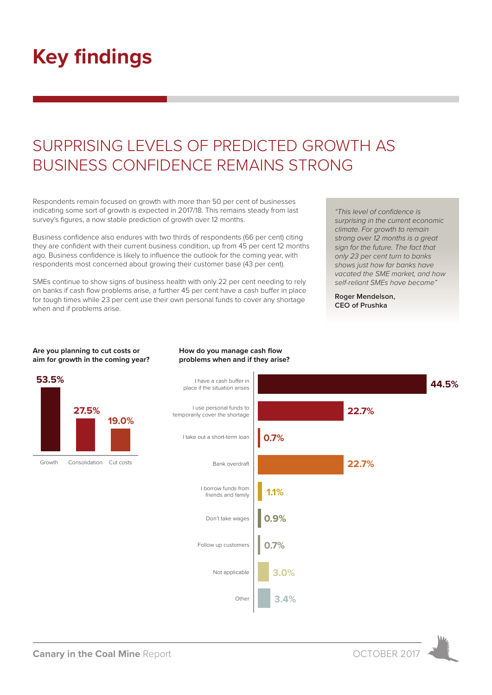# **Key findings**

**Are you planning to cut costs or aim for growth in the coming year?**

# SURPRISING LEVELS OF PREDICTED GROWTH AS BUSINESS CONFIDENCE REMAINS STRONG

Respondents remain focused on growth with more than 50 per cent of businesses indicating some sort of growth is expected in 2017/18. This remains steady from last survey's figures, a now stable prediction of growth over 12 months.

Business confidence also endures with two thirds of respondents (66 per cent) citing they are confident with their current business condition, up from 45 per cent 12 months ago. Business confidence is likely to influence the outlook for the coming year, with respondents most concerned about growing their customer base (43 per cent).

SMEs continue to show signs of business health with only 22 per cent needing to rely on banks if cash flow problems arise, a further 45 per cent have a cash buffer in place for tough times while 23 per cent use their own personal funds to cover any shortage when and if problems arise.

*"This level of confidence is surprising in the current economic climate. For growth to remain strong over 12 months is a great sign for the future. The fact that only 23 per cent turn to banks shows just how far banks have vacated the SME market, and how self-reliant SMEs have become"*

**Roger Mendelson, CEO of Prushka**



#### **How do you manage cash flow problems when and if they arise?**

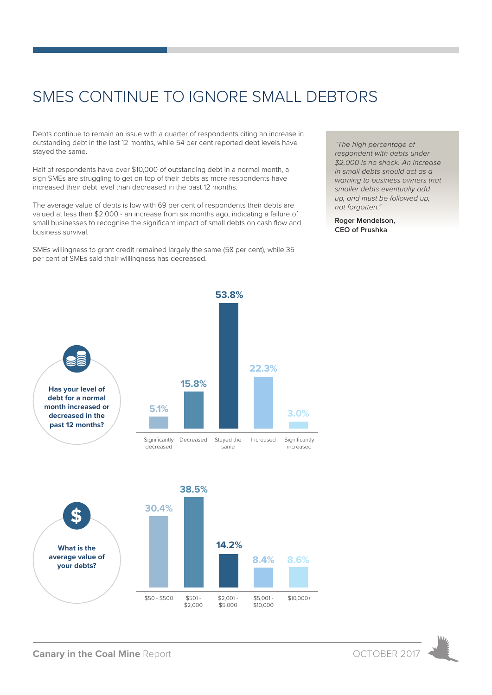# SMES CONTINUE TO IGNORE SMALL DEBTORS

Debts continue to remain an issue with a quarter of respondents citing an increase in outstanding debt in the last 12 months, while 54 per cent reported debt levels have stayed the same.

Half of respondents have over \$10,000 of outstanding debt in a normal month, a sign SMEs are struggling to get on top of their debts as more respondents have increased their debt level than decreased in the past 12 months.

The average value of debts is low with 69 per cent of respondents their debts are valued at less than \$2,000 - an increase from six months ago, indicating a failure of small businesses to recognise the significant impact of small debts on cash flow and business survival.

SMEs willingness to grant credit remained largely the same (58 per cent), while 35 per cent of SMEs said their willingness has decreased.

*"The high percentage of respondent with debts under \$2,000 is no shock. An increase in small debts should act as a warning to business owners that smaller debts eventually add up, and must be followed up, not forgotten."*

**Roger Mendelson, CEO of Prushka**



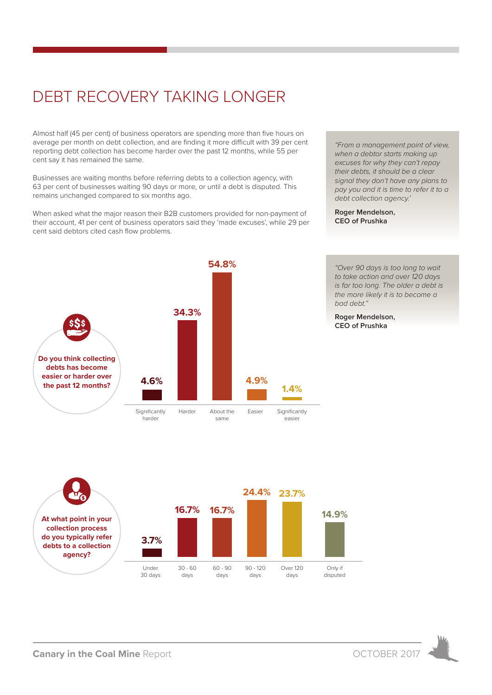# DEBT RECOVERY TAKING LONGER

Almost half (45 per cent) of business operators are spending more than five hours on average per month on debt collection, and are finding it more difficult with 39 per cent reporting debt collection has become harder over the past 12 months, while 55 per cent say it has remained the same.

Businesses are waiting months before referring debts to a collection agency, with 63 per cent of businesses waiting 90 days or more, or until a debt is disputed. This remains unchanged compared to six months ago.

When asked what the major reason their B2B customers provided for non-payment of their account, 41 per cent of business operators said they 'made excuses', while 29 per cent said debtors cited cash flow problems.



**Roger Mendelson, CEO of Prushka**



*to take action and over 120 days is far too long. The older a debt is the more likely it is to become a bad debt."*

*"Over 90 days is too long to wait* 

**Roger Mendelson, CEO of Prushka**



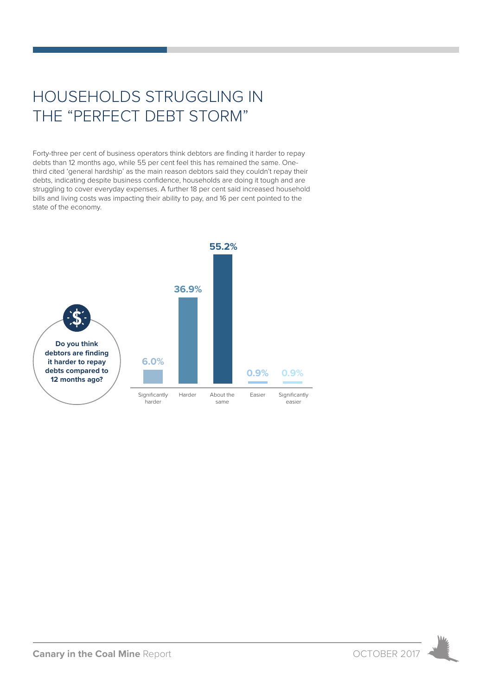# HOUSEHOLDS STRUGGLING IN THE "PERFECT DEBT STORM"

Forty-three per cent of business operators think debtors are finding it harder to repay debts than 12 months ago, while 55 per cent feel this has remained the same. Onethird cited 'general hardship' as the main reason debtors said they couldn't repay their debts, indicating despite business confidence, households are doing it tough and are struggling to cover everyday expenses. A further 18 per cent said increased household bills and living costs was impacting their ability to pay, and 16 per cent pointed to the state of the economy.